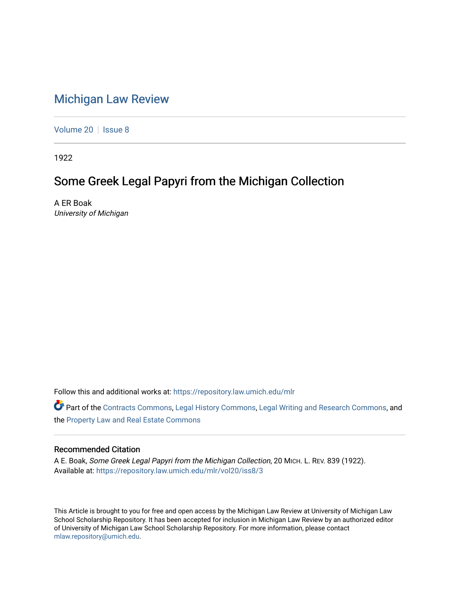## [Michigan Law Review](https://repository.law.umich.edu/mlr)

[Volume 20](https://repository.law.umich.edu/mlr/vol20) | [Issue 8](https://repository.law.umich.edu/mlr/vol20/iss8)

1922

# Some Greek Legal Papyri from the Michigan Collection

A ER Boak University of Michigan

Follow this and additional works at: [https://repository.law.umich.edu/mlr](https://repository.law.umich.edu/mlr?utm_source=repository.law.umich.edu%2Fmlr%2Fvol20%2Fiss8%2F3&utm_medium=PDF&utm_campaign=PDFCoverPages) 

Part of the [Contracts Commons](http://network.bepress.com/hgg/discipline/591?utm_source=repository.law.umich.edu%2Fmlr%2Fvol20%2Fiss8%2F3&utm_medium=PDF&utm_campaign=PDFCoverPages), [Legal History Commons,](http://network.bepress.com/hgg/discipline/904?utm_source=repository.law.umich.edu%2Fmlr%2Fvol20%2Fiss8%2F3&utm_medium=PDF&utm_campaign=PDFCoverPages) [Legal Writing and Research Commons,](http://network.bepress.com/hgg/discipline/614?utm_source=repository.law.umich.edu%2Fmlr%2Fvol20%2Fiss8%2F3&utm_medium=PDF&utm_campaign=PDFCoverPages) and the [Property Law and Real Estate Commons](http://network.bepress.com/hgg/discipline/897?utm_source=repository.law.umich.edu%2Fmlr%2Fvol20%2Fiss8%2F3&utm_medium=PDF&utm_campaign=PDFCoverPages)

## Recommended Citation

A E. Boak, Some Greek Legal Papyri from the Michigan Collection, 20 MICH. L. REV. 839 (1922). Available at: [https://repository.law.umich.edu/mlr/vol20/iss8/3](https://repository.law.umich.edu/mlr/vol20/iss8/3?utm_source=repository.law.umich.edu%2Fmlr%2Fvol20%2Fiss8%2F3&utm_medium=PDF&utm_campaign=PDFCoverPages)

This Article is brought to you for free and open access by the Michigan Law Review at University of Michigan Law School Scholarship Repository. It has been accepted for inclusion in Michigan Law Review by an authorized editor of University of Michigan Law School Scholarship Repository. For more information, please contact [mlaw.repository@umich.edu.](mailto:mlaw.repository@umich.edu)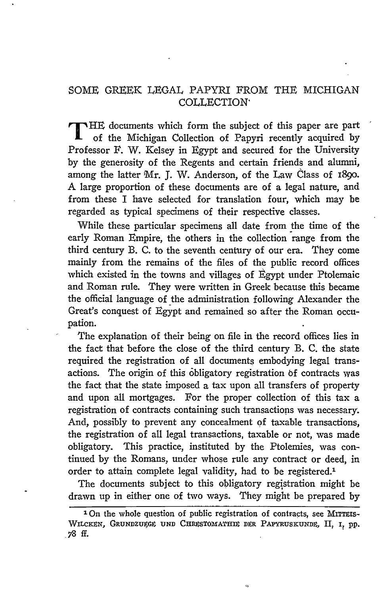## SOME GREEK LEGAL PAPYRI FROM THE MICHIGAN COLLECTION'

THE documents which form the subject of this paper are part of the Michigan Collection of Papyri recently acquired by Professor F. W. Kelsey in Egypt and secured for the University by the generosity of the Regents and certain friends and alumni, among the latter Mr. J. W. Anderson, of the Law Class of 1890. A large proportion of these documents are of a legal nature, and from these I have selected for translation four, which may be regarded as typical specimens of their respective classes.

While these particular specimens all date from the time of the early Roman Empire, the others in the collection range from the third century B. C. to the seventh century of our era. They come mainly from the remains of the files of the public record offices which existed in the towns and villages of Egypt under Ptolemaic and Roman rule. They were written in Greek because this became the official language of the administration following Alexander the Great's conquest of Egypt and remained so after the Roman occupation.

The explanation of their being on file in the record offices lies in the fact that before the close of the third century B. C. the state required the registration of all documents embodying legal transactions. The origin of this obligatory registration bf contracts was the fact that the state imposed a tax upon all transfers of property and upon all mortgages. For the proper collection of this tax a registration of contracts containing such transactions was necessary. And, possibly to prevent any concealment of taxable transactions, the registration of all legal transactions, taxable or not, was made obligatory. This practice, instituted by the Ptolemies, was continued by the Romans, under whose rule any contract or deed, in order to attain complete legal validity, had to be registered.<sup>1</sup>

The documents subject to this obligatory registration might be drawn up in either one of two ways. They might be prepared by

 $1$ On the whole question of public registration of contracts, see MITTEIS-WILCKEN, GRUNDZUEGE UND CHRESTOMATHIE DER PAPYRUSKUNDE, II, I, pp. 78 ff.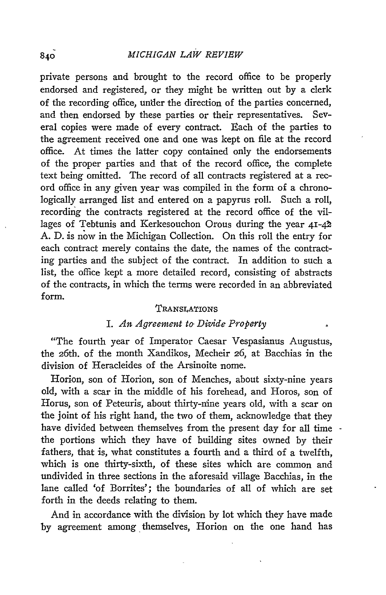#### *MICHIGAN LAW REVIEW*

private persons and brought to the record office to be properly endorsed and registered, or they might be written out by a clerk of the recording office, untler the direction of the parties concerned, and then endorsed by these parties or their representatives. Several copies were made of every contract. Each of the parties to the agreement received one and one was kept on file at the record office. At times the latter copy contained only the endorsements of the proper parties and that of the record office, the complete text being omitted. The record of all contracts registered at a record office in any given year was compiled in the form of a chronologically arranged list and entered on a papyrus roll. Such a roll, recording the contracts registered at the record office of the villages of Tebtunis and Kerkesouchon Orous during the year  $41-42$ A. D. :is now in the Michigan Collection. On this roll the entry for each contract merely contains the date, the names of the contracting parties and the subject of the contract. In addition to such a list, the office kept a more detailed record, consisting of abstracts of the contracts, in which the terms were recorded in an abbreviated form.

#### TRANSLATIONS

#### I. *An Agreement to· Divide Property*

"The fourth year of Imperator Caesar Vespasianus Augustus, the 26th. of the month Xandikos, Mecheir 26, at Bacchias in the division of Heracleides of the Arsinoite nome.

Horion, son of Horion, son of Menches, about sixty-nine years old, with a scar in the middle of his forehead, and Horos, son of Horus, son of Peteuris, about thirty-nine years old, with a scar on the joint of his right hand, the two of them, acknowledge that they have divided between themselves from the present day for all time the portions which they have of building sites owned by their fathers, that is, what constitutes a fourth and a third of a twelfth, which is one thirty-sixth, of these sites which are common and undivided in three sections in the aforesaid village Bacchias, in the lane called 'of Borrites'; the boundaries of all of which are set forth in the deeds relating to them.

And in accordance with the division by lot which they have made by agreement among themselves, Horion on the one hand has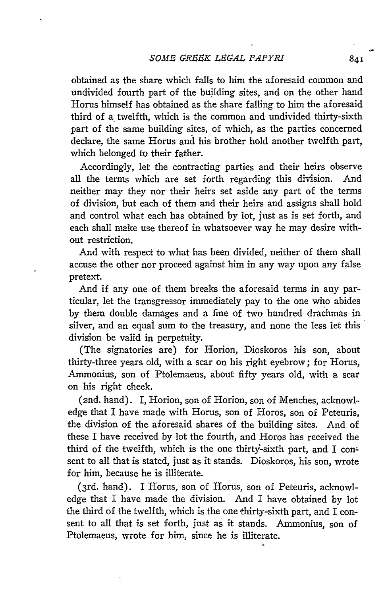obtained as the share which falls to him the aforesaid common and undivided fourth part of the bujlding sites, and on the other hand Horus himself has obtained as the share falling to him the aforesaid third of a twelfth, which is the common and undivided thirty-sixth part of the same building sites, of which, as the parties concerned declare, the same Horus and his brother hold another twelfth part, which belonged to their father.

Accordingly, let the contracting parties and their heirs observe all the terms which are set forth regarding this division. And neither may they nor their heirs set aside any part of the terms of division, but each of them and their heirs and assigns shall hold and control what each has obtained by lot, just as is set forth, and each shall make use thereof in whatsoever way he may desire without restriction.

And with respect to what has been divided, neither of them shall accuse the other nor proceed against him in any way upon any false pretext.

And if any one of them breaks the aforesaid terms in any particular, let the transgressor immediately pay to the one who abides by them double damages and a fine of two hundred drachmas in silver, and an equal sum to the treasury, and none the less let this division be valid in perpetuity.

(The signatories are) for Horion, Dioskoros his son, about thirty-three years old, with a scar on his right eyebrow; for Horus, Ammonius, son of Ptolemaeus, about fifty years old, with a scar on his right cheek.

(2nd. hand). I, Horion, son of Horion, son of Menches, acknowledge that I have made with Horus, son of Horos, son of Peteuris, the division of the aforesaid shares of the building sites. And of these I have received by lot the fourth, and Horos has received the third of the twelfth, which is the one thirty-sixth part, and I consent to all that is stated, just as it stands. Dioskoros, his son, wrote for him, because he is illiterate.

(3rd. hand). I Horus, son of Horus, son of Peteuris, acknowledge that I have made the division. And I have obtained by lot the third of the twelfth, which is the one thirty-sixth part, and I consent to all that is set forth, just as it stands. Ammonius, son of Ptolemaeus, wrote for him, since he is illiterate.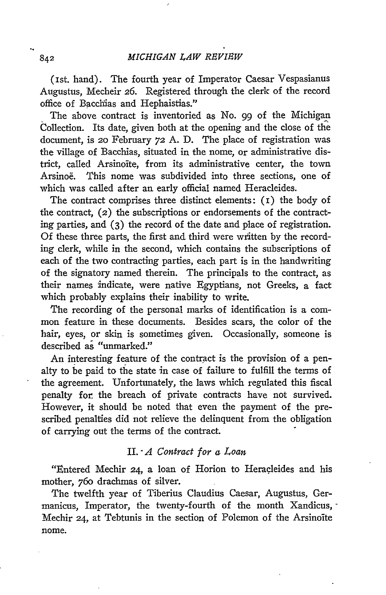(rst. hand). The fourth year of Imperator Caesar Vespasianus Augustus, Mecheir *26.* Registered through the clerk of the record office of Bacchias and Hephaistias."

The above contract is inventoried as No. 99 of the Michigan Collection. Its date, given both at the opening and the close of the document, is *20* February *72* A. D. The place of registration was the village of Bacchias, situated in the nome, or administrative district, called Arsinoite, from its administrative center, the town Arsinoë. This nome was subdivided into three sections, one of which was called after an early official named Heracleides.

The contract comprises three distinct elements: (I) the body of the contract, (2) the subscriptions or endorsements of the contracting parties, and (3) the record of the date and place of registration. Of these three parts, the first and third were written by the recording clerk, while in the second, which contains the subscriptions of each of the two contracting parties, each part is in the handwriting of the signatory named therein. The principals to the contract, as their names indicate, were native Egyptians, not Greeks, a fact which probably explains their inability to write.

The recording of the personal marks of identification is a common feature in these documents. Besides scars, the color of the hair, eyes, or skin is sometimes given. Occasionally, someone is described as "unmarked."

An interesting feature of the contract is the provision of a penalty to be paid to the state in case of failure to fulfill the terms of the agreement. Unfortunately, the laws which regulated this fiscal penalty for. the breach of private contracts have not survived. However, it should be noted that even the payment of the prescribed penalties did not relieve the delinquent from the obligation of carrying out the terms of the contract.

#### II.· *A Contract for a Loan*

"Entered Mechir 24, a loan of Horion to Heracleides and his mother, 76o drachmas of silver.

The twelfth year of Tiberius Claudius Caesar, Augustus, Germanicus, Imperator, the twenty-fourth of the month Xandicus, Mechir *24,* at Tebtunis in the section of Polemon of the Arsinoite nome.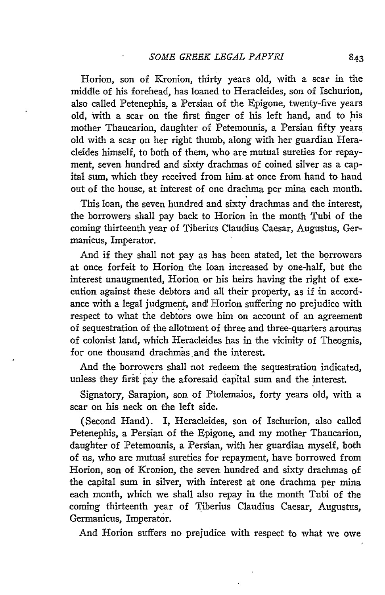Horion, son of Kronion, thirty years old, with a scar in the middle of his forehead, has loaned to Heracleides, son of Ischurion, also called Petenephis, a Persian of the Epigone, twenty-five years old, with a scar on the first finger of his left hand, and to his mother Thaucarion, daughter of Petemounis, a Persian fifty years old with a scar on her right thumb, along with her guardian Heracleides himself, to both of them, who are mutual sureties for repayment, seven hundred and sixty drachmas of coined silver as a capital sum, which they received from him. at once from hand to hand out of the house, at interest of one drachma per mina each month.

This loan, the seven hundred and sixty drachmas and the interest, the borrowers shall pay back to Horion in the month Tubi of the coming thirteenth year of Tiberius Claudius Caesar, Augustus, Germanicus, Imperator.

And if they shall not pay as has been stated, let the borrowers at once forfeit to Horion the loan increased by one-half, but the interest unaugmented, Horion or his heirs having the right of execution against these debtors and all their property, as if in accordance with a legal judgment, and Horion suffering no prejudice with respect to what the debtors owe him on account of an agreement of sequestration of the allotment of three and three-quarters arouras of colonist land, which Heracleides has in the vicinity of Theognis, for one thousand drachmas and the interest.

And the borrowers shall not redeem the sequestration indicated, unless they first pay the aforesaid capital sum and the interest.

Signatory, Sarapion, son of Ptolemaios, forty years old, with a scar on his neck on the left side.

(Second Hand). I, Heracleides, son of Ischurion, also called Petenephis, a Persian of the Epigone, and my mother Thaucarion, daughter of Petemounis, a Persian, with her guardian myself, both of us, who are mutual sureties for repayment, have borrowed from Horion, son of Kronion, the seven hundred and sixty drachmas of the capital sum in silver, with interest at one drachma per mina each month, which we shall also repay in the month Tubi of the coming thirteenth year of Tiberius Claudius Caesar, Augustus, Germanicus, Imperator.

And Horion suffers no prejudice with respect to what we owe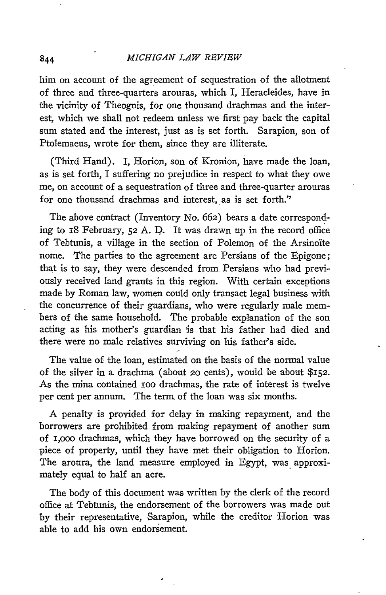#### *MICHIGAN LAW REVIEW*

him on account of the agreement of sequestration of the allotment of three and three-quarters arouras, which I, Heracleides, have in the vicinity of Theognis, for one thousand drachmas and the interest, which we shall not redeem unless we first pay back the capital sum stated and the interest, just as is set forth. Sarapion, son of Ptolemaeus, wrote for them, since they are illiterate.

(Third Hand). I, Horion, son of Kronion, have made the loan, as is set forth, I suffering no prejudice in respect to what they owe me, on account of a sequestration of three and three-quarter arouras for one thousand drachmas and interest, as is set forth."

The above contract (Inventory No. 662) bears a date corresponding to 18 February, 52 A. p. It was drawn up in the record office of Tebtunis, a village in the section of Polemon of the Arsinoite nome. The parties to the agreement are Persians of the Epigone; that is to say, they were descended from Persians who had previously received land grants in this region. With certain exceptions made by Roman law, women could only transact legal business with the concurrence of their guardians, who were regularly male members of the same household. The probable explanation of the son acting as his mother's guardian is that his father had died and there were no male relatives surviving on his father's side.

The value of the loan, estimated on the basis of the normal value of the silver in a drachma (about 20 cents), would be about \$152. As the mina contained 100 drachmas, the rate of interest is twelve per cent per annum. The term of the loan was six months.

A penalty is provided for delay. in making repayment, and the borrowers are prohibited from making repayment of another sum of 1,000 drachmas, which they have borrowed on the security of a piece of property, until they have met their obligation to Horion. The aroura, the land measure employed in Egypt, was approximately equal to half an acre.

The body of this document was written by the clerk of the record office at Tebtunis, the endorsement of the borrowers was made out by their representative, Sarapion, while the creditor Horion was able to add his own endorsement.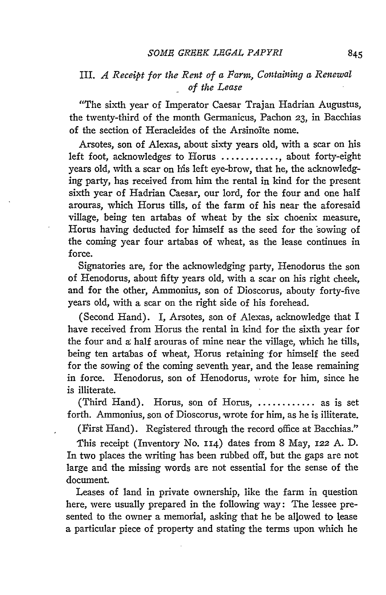## III. *A Receipt for the Rent of a Farm, Containing a Renewal*  of the Lease

"The sixth year of Imperator Caesar Trajan Hadrian Augustus, the twenty-third of the month Germanicus, Pachon 23, in Bacchias of the section of Heracleides of the Arsinoite nome.

Arsotes, son of Alexas, about sixty years old, with a scar on his left foot, acknowledges to Horus ............., about forty-eight years old, with a scar on his left eye-brow, that he, the acknowledging party, has received from him the rental in kind for the present sixth year of Hadrian Caesar, our lord, for the four and one half arouras, which Horus tills, of the farm of his near the aforesaid village, being ten artabas of wheat by the six choenix measure, Horus having deducted for himself as the seed for the sowing of the coming year four artabas of wheat, as the lease continues in force.

Signatories are, for the acknowledging party, Henodorus the son of Henodorus, about fifty years old, with a scar on his right cheek, and for the other, Ammonius, son of Dioscorus, abouty forty-five years old, with a scar on the right side of his forehead.

(Second Hand). I, Arsotes, son of Alexas, acknowledge that I have received from Horus the rental in kind for the sixth year for the four and a; half arouras of mine near the village, which he tills, being ten artabas of wheat, Horus retaining for himself the seed for the sowing of the coming seventh year, and the lease remaining in force. Henodorus, son of Henodorus, wrote for him, since he is illiterate.

(Third Hand). Horus, son of Horus, ............ as is set forth. Ammonius, son of Dioscorus, wrote for him, as he is illiterate.

(First Hand). Registered through the record office at Bacchias."

This receipt (Inventory No. 114) dates from 8 May, 122 A. D. In two places the writing has been rubbed off, but the gaps are not large and the missing words are not essential for the sense of the document.

Leases of land in private ownership, like the farm in question here, were usually prepared in the following way: The lessee presented to the owner a memorial, asking that he be allowed to lease a particular piece of property and stating the terms upon which he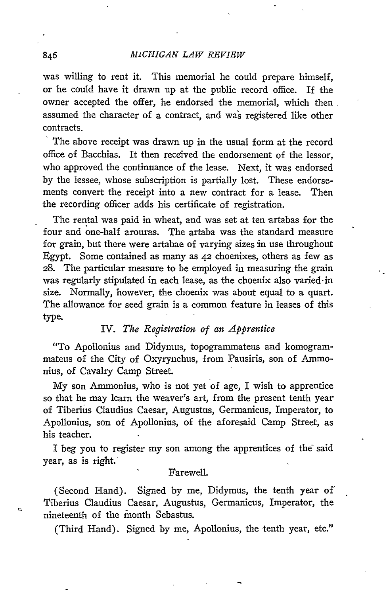was willing to rent it. This memorial he could prepare himself, or he could have it drawn up at the public record office. If the owner accepted the offer, he endorsed the memorial, which then , assumed the character of a contract, and was registered like other contracts.

The above receipt was drawn up in the usual form at the record office of Bacchias. It then received the endorsement of the lessor, who approved the continuance of the lease. Next, it was endorsed by the lessee, whose subscription is partially lost. These endorsements convert the receipt into a new contract for a lease. Then the recording officer adds his certificate of registration.

The rental was paid in wheat, and was set at ten artabas for the four and one-half arouras. The artaba was the standard measure for grain, but there were artabae of varying sizes in use throughout Egypt. Some contained as many as 42 choenixes, others as few as 28. The particular measure to be employed in measuring the grain was regularly stipulated in each lease, as the choenix also varied·in size. Normally, however, the choenix was about equal to a quart. The allowance for seed grain is a common feature in leases of this type.

## IV. The Registration of an Apprentice

"To Apollonius and Didymus, topogrammateus and komogrammateus of the City of Oxyrynchus, from Pausiris, son of Ammonius, of Cavalry Camp Street.

My son Ammonius, who is not yet of age, I wish to apprentice so that he may learn the weaver's art, from the present tenth year of Tiberius Claudius Caesar, Augustus, Germanicus, Imperator, to Apollonius, son of Apollonius, of the aforesaid Camp Street, as his teacher.

I beg you to register my son among the apprentices of the said year, as is right.

#### Farewell.

(Second Hand). Signed by me, Didymus, the tenth year of Tiberius Claudius Caesar, Augustus, Germanicus, Imperator, the nineteenth of the inonth Sebastus.

(Third Hand). Signed by me, Apollonius, the tenth year, etc."